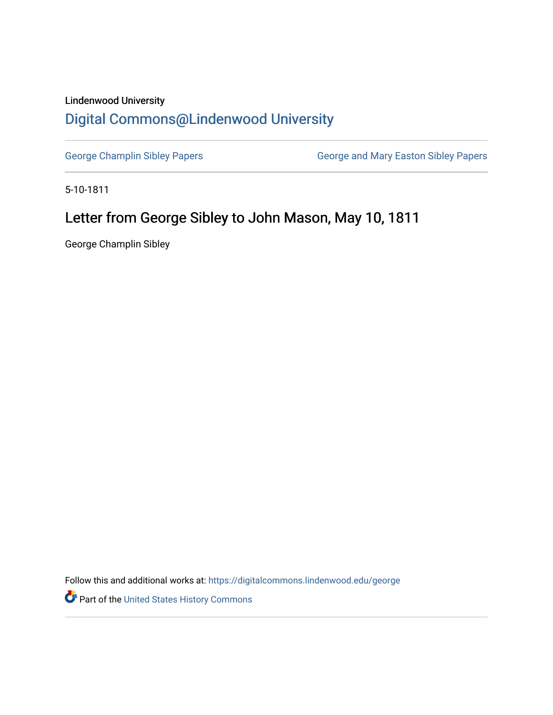## Lindenwood University

## [Digital Commons@Lindenwood University](https://digitalcommons.lindenwood.edu/)

[George Champlin Sibley Papers](https://digitalcommons.lindenwood.edu/george) **George and Mary Easton Sibley Papers** George and Mary Easton Sibley Papers

5-10-1811

## Letter from George Sibley to John Mason, May 10, 1811

George Champlin Sibley

Follow this and additional works at: [https://digitalcommons.lindenwood.edu/george](https://digitalcommons.lindenwood.edu/george?utm_source=digitalcommons.lindenwood.edu%2Fgeorge%2F31&utm_medium=PDF&utm_campaign=PDFCoverPages)

Part of the [United States History Commons](http://network.bepress.com/hgg/discipline/495?utm_source=digitalcommons.lindenwood.edu%2Fgeorge%2F31&utm_medium=PDF&utm_campaign=PDFCoverPages)